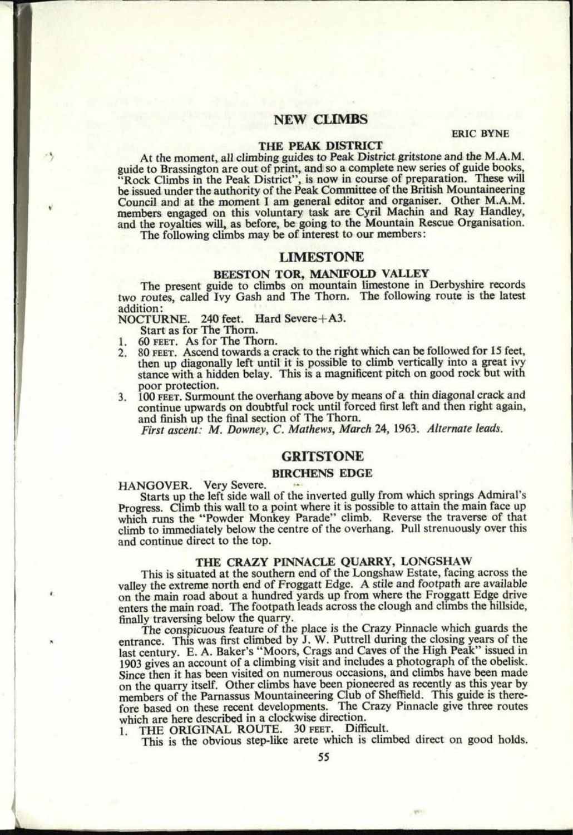# **NEW CLIMBS**

#### ERIC BYNE

## **THE PEAK DISTRICT**

At the moment, all climbing guides to Peak District gritstone and the M.A.M. guide to Brassington are out of print, and so <sup>a</sup>complete new series of guide books, "Rock Climbs in the Peak District", is now in course of preparation. These will be issued under the authority of the Peak Committee of the British Mountaineering Council and at the moment I am general editor and organiser. Other M.A.M. members engaged on this voluntary task are Cyril Machin and Ray Handley, and the royalties will, as before, be going to the Mountain Rescue Organisation.

The following climbs may be of interest to our members:

## **LIMESTONE**

### **BEESTON TOR, MANIFOLD VALLEY**

The present guide to climbs on mountain limestone in Derbyshire records two routes, called Ivy Gash and The Thorn. The following route is the latest addition:

NOCTURNE. 240 feet. Hard Severe+A3.

Start as for The Thorn.

**62. 0848**

73

- 60 FEET. As for The Thorn.
- 2. 80 FEET. Ascend towards a crack to the right which can be followed for 15 feet, then up diagonally left until it is possible to climb vertically into a great ivy stance with a hidden belay. This is a magnificent pitch on good rock but with poor protection.
- 3. 100 FEET. Surmount the overhang above by means of a thin diagonal crack and continue upwards on doubtful rock until forced first left and then right again, and finish up the final section of The Thorn.

*First ascent: M. Downey, C. Mathews, March* 24, 1963. *Alternate leads.*

# **GRITSTONE**

## **BIRCHENS EDGE**

### HANGOVER. Very Severe.

Starts up the left side wall of the inverted gully from which springs Admiral's Progress. Climb this wall to a point where it is possible to attain the main face up which runs the "Powder Monkey Parade" climb. Reverse the traverse of that climb to immediately below the centre of the overhang. Pull strenuously over this and continue direct to the top.

### **THE CRAZY PINNACLE QUARRY, LONGSHAW**

This is situated at the southern end of the Longshaw Estate, facing across the valley the extreme north end of Froggatt Edge. A stile and footpath are available on the main road about a hundred yards up from where the Froggatt Edge drive enters the main road. The footpath leads across the clough and climbs the hillside, finally traversing below the quarry.

The conspicuous feature of the place is the Crazy Pinnacle which guards the entrance. This was first climbed by J. W. Puttrell during the closing years of the last century. E. A. Baker's "Moors, Crags and Caves of the High Peak" issued in 1903 gives an account of a climbing visit and includes a photograph of the obelisk. Since then it has been visited on numerous occasions, and climbs have been made on the quarry itself. Other climbs have been pioneered as recently as this year by members of the Parnassus Mountaineering Club of Sheffield. This guide is therefore based on these recent developments. The Crazy Pinnacle give three routes which are here described in a clockwise direction.

1. THE ORIGINAL ROUTE. 30 FEET. Difficult.

This is the obvious step-like arete which is climbed direct on good holds.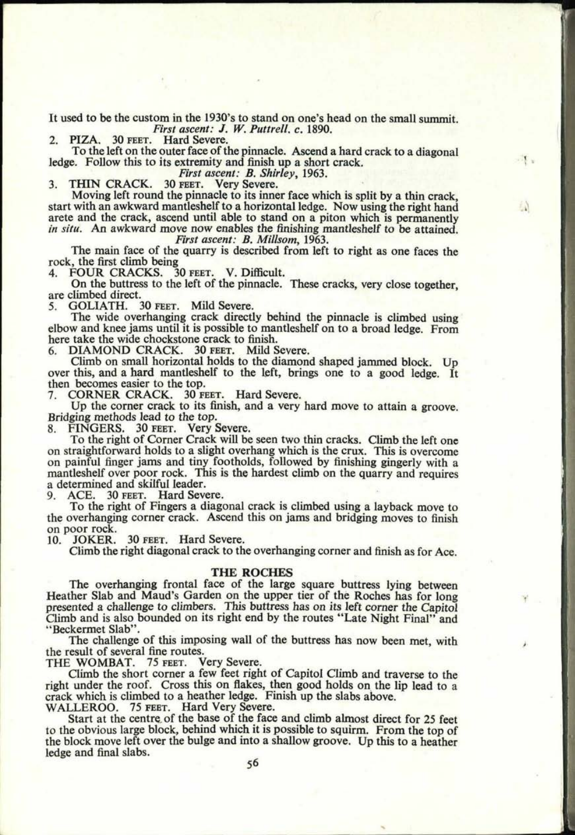It used to be the custom in the 1930's to stand on one's head on the small summit. *First ascent: J. W. Puttrell, c. 1890.* Hard Severe.

2. PIZA. 30 FEET.

To the left on the outer face of the pinnacle. Ascend a hard crack to a diagonal ledge. Follow this to its extremity and finish up a short crack.

 $\mathbf{Y}$ 

W

*First ascent: B. Shirley,* 1963.

3. THIN CRACK. 30 FEET.

Moving left round the pinnacle to its inner face which is split by a thin crack, start with an awkward mantleshelf to a horizontal ledge. Now using the right hand arete and the crack, ascend until able to stand on a piton which is permanently *in situ.* An awkward move now enables the finishing mantleshelf to be attained.

*First ascent: B. Millsom,* 1963.

The main face of the quarry is described from left to right as one faces the rock, the first climb being 4. FOUR CRACKS. 30 FEET. V. Difficult.

On the buttress to the left of the pinnacle. These cracks, very close together, are climbed direct.<br>5. GOLIATH.

5. GOLIATH. 30 FEET. Mild Severe.

The wide overhanging crack directly behind the pinnacle is climbed using elbow and knee jams until it is possible to mantleshelf on to a broad ledge. From here take the wide chockstone crack to finish.<br>6. DIAMOND CRACK. 30 FEET. Mild S

6. DIAMOND CRACK. 30 FEET. Mild Severe. Climb on small horizontal holds to the diamond shaped jammed block. Up over this, and a hard mantleshelf to the left, brings one to a good ledge. It then becomes easier to the top.<br>7. CORNER CRACK. 30 F

7. CORNER CRACK. 30 FEET. Hard Severe. Up the corner crack to its finish, and a very hard move to attain a groove. Bridging methods lead to the top.<br>8. FINGERS. 30 FEET. Very S.

8. FINGERS. 30 FEET. Very Severe.<br>To the right of Corner Crack will be seen two thin cracks. Climb the left one on straightforward holds to a slight overhang which is the crux. This is overcome on painful finger jams and tiny footholds, followed by finishing gingerly with a mantleshelf over poor rock. This is the hardest climb on the quarry and requires a determined and skilful leader.

9. ACE. 30 FEET. Hard Severe.

To the right of Fingers a diagonal crack is climbed using a layback move to the overhanging corner crack. Ascend this on jams and bridging moves to finish on poor rock.<br>10. JOKER.

JOKER. 30 FEET. Hard Severe.

Climb the right diagonal crack to the overhanging corner and finish as for Ace.

### **THE ROCHES**

The overhanging frontal face of the large square buttress lying between Heather Slab and Maud's Garden on the upper tier of the Roches has for long presented a challenge to climbers. This buttress has on its left corner the Capitol Climb and is also bounded on its right end by the routes "Late Night Final" and "Beckermet Slab".

The challenge of this imposing wall of the buttress has now been met, with the result of several fine routes. THE WOMBAT. 75 FEET. Very Severe. Climb the short corner a few feet right of Capitol Climb and traverse to the

right under the roof. Cross this on flakes, then good holds on the lip lead to a crack which is climbed to a heather ledge. Finish up the slabs above. WALLEROO. 75 FEET. Hard Very Severe.

Start at the centre of the base of the face and climb almost direct for 25 feet to the obvious large block, behind which it is possible to squirm. From the top of the block move left over the bulge and into a shallow groove. Up this to a heather ledge and final slabs.